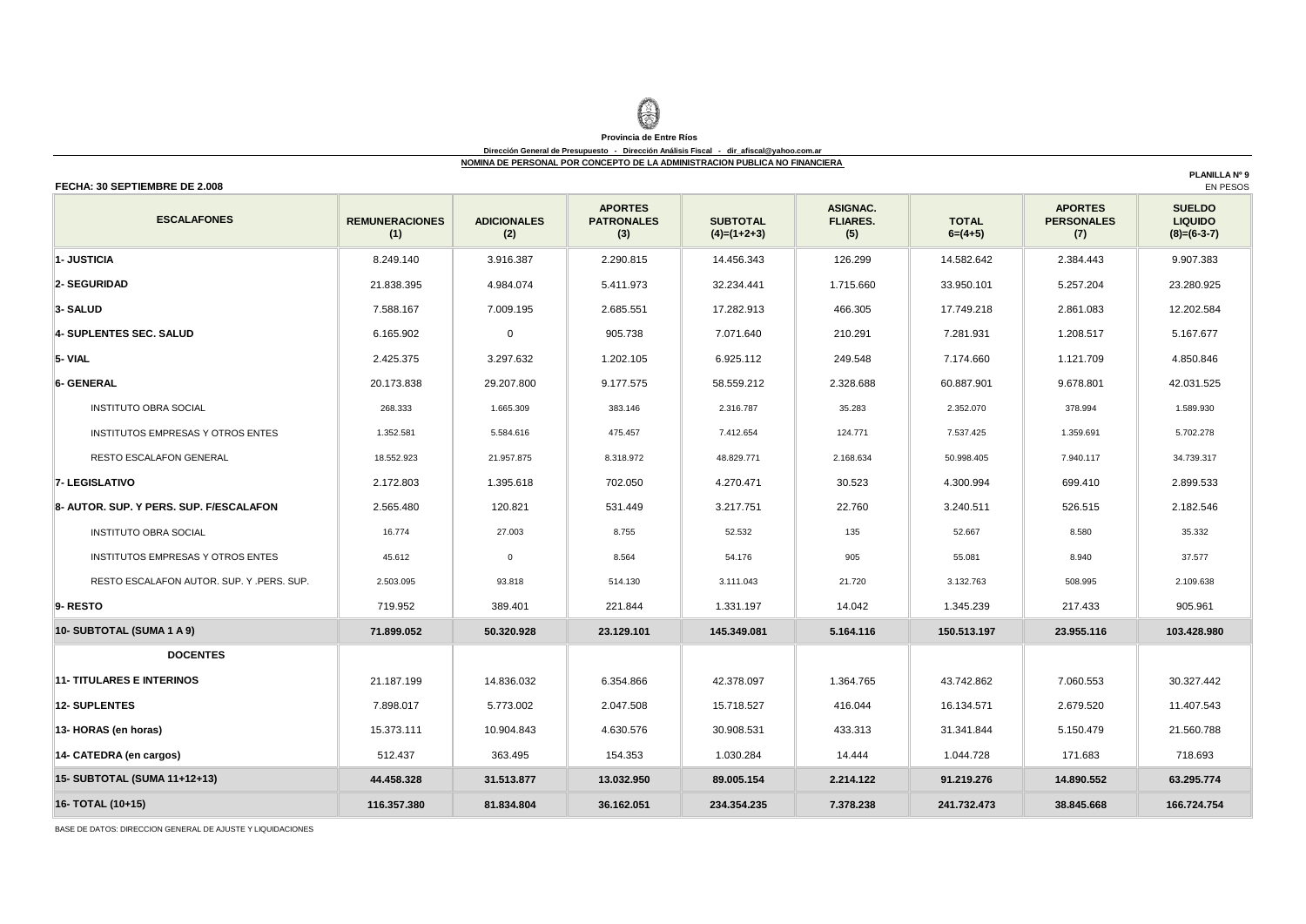## **Provincia de Entre Ríos**

#### **Dirección General de Presupuesto - Dirección Análisis Fiscal - dir\_afiscal@yahoo.com.ar NOMINA DE PERSONAL POR CONCEPTO DE LA ADMINISTRACION PUBLICA NO FINANCIERA**

### **FECHA: 30 SEPTIEMBRE DE 2.008**

**REMUNERACIONES (1) ADICIONALES (2) APORTES PATRONALES (3) SUBTOTAL (4)=(1+2+3) ASIGNAC. FLIARES. (5) TOTAL 6=(4+5) APORTES PERSONALES (7) SUELDO LIQUIDO (8)=(6-3-7) 1- JUSTICIA** 8.249.140 3.916.387 2.290.815 14.456.343 126.299 14.582.642 2.384.443 9.907.383 **2- SEGURIDAD** 21.838.395 4.984.074 5.411.973 32.234.441 1.715.660 33.950.101 5.257.204 23.280.925 **3- SALUD** 7.588.167 7.009.195 2.685.551 17.282.913 466.305 17.749.218 2.861.083 12.202.584 **4- SUPLENTES SEC. SALUD** 6.165.902 0 905.738 7.071.640 210.291 7.281.931 1.208.517 5.167.677 **5- VIAL** 2.425.375 3.297.632 1.202.105 6.925.112 249.548 7.174.660 1.121.709 4.850.846 **6- GENERAL** 29.173.838 29.207.800 9.177.575 58.559.212 2.328.688 60.887.901 9.678.801 42.031.525 INSTITUTO OBRA SOCIAL 268.333 1.665.309 383.146 2.316.787 35.283 2.352.070 378.994 1.589.930 INSTITUTOS EMPRESAS Y OTROS ENTES 1.352.581 5.584.616 475.457 7.412.654 124.771 7.537.425 1.359.691 5.702.278 RESTO ESCALAFON GENERAL 18.552.923 21.957.875 3.318.972 48.829.771 3.168.634 50.998.405 37.940.117 34.739.317 **7- LEGISLATIVO** 2.172.803 1.395.618 702.050 4.270.471 30.523 4.300.994 699.410 2.899.533 **8- AUTOR. SUP. Y PERS. SUP. F/ESCALAFON** 2.565.480 120.821 531.449 3.217.751 22.760 3.240.511 526.515 2.182.546 INSTITUTO OBRA SOCIAL 16.774 27.003 8.755 52.532 135 52.667 8.580 35.332 INSTITUTOS EMPRESAS Y OTROS ENTES | 45.612 | 0 | 8.564 | 54.176 | 905 | 55.081 | 8.940 | 37.577 RESTO ESCALAFON AUTOR. SUP. Y .PERS. SUP. 2.503.095 93.818 514.130 3.111.043 21.720 3.132.763 508.995 2.109.638 **9- RESTO** 719.952 || 389.401 || 221.844 || 1.331.197 || 14.042 || 1.345.239 || 217.433 || 905.961 | **71.899.052 50.320.928 23.129.101 145.349.081 5.164.116 150.513.197 23.955.116 103.428.980 11- TITULARES E INTERINOS** 21.187.199 14.836.032 6.354.866 42.378.097 1.364.765 43.742.862 7.060.553 30.327.442 **12- SUPLENTES** 7.898.017 5.773.002 2.047.508 15.718.527 416.044 16.134.571 2.679.520 11.407.543 **13- HORAS (en horas) 1**5.373.111 10.904.843 4.630.576 30.908.531 433.313 31.341.844 5.150.479 21.560.788 **14- CATEDRA (en cargos) 512.437 363.495 154.353 1.030.284 1.4444 1.044.728 171.683 718.693 44.458.328 31.513.877 13.032.950 89.005.154 2.214.122 91.219.276 14.890.552 63.295.774 116.357.380 81.834.804 36.162.051 234.354.235 7.378.238 241.732.473 38.845.668 166.724.754 16- TOTAL (10+15) ESCALAFONES DOCENTES 10- SUBTOTAL (SUMA 1 A 9) 15- SUBTOTAL (SUMA 11+12+13)**

BASE DE DATOS: DIRECCION GENERAL DE AJUSTE Y LIQUIDACIONES

**PLANILLA Nº 9**